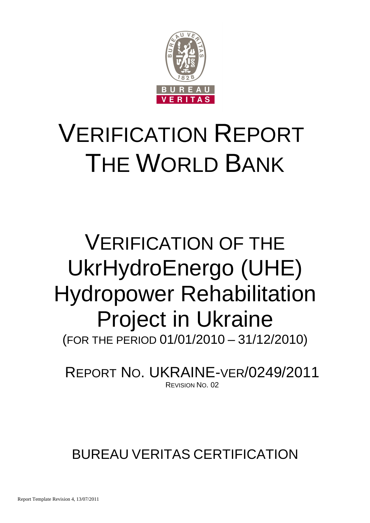

# VERIFICATION REPORT THE WORLD BANK

# VERIFICATION OF THE UkrHydroEnergo (UHE) Hydropower Rehabilitation Project in Ukraine (FOR THE PERIOD 01/01/2010 – 31/12/2010)

REPORT NO. UKRAINE-VER/0249/2011 REVISION NO. 02

BUREAU VERITAS CERTIFICATION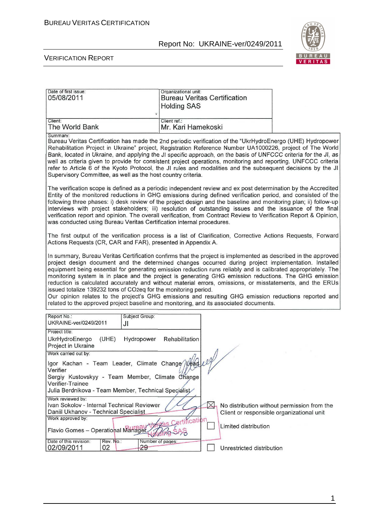

| Date of first issue:<br>05/08/2011                                                                                                                                                                                                                                                                                                                                                                                                                                                                                                                                                                                                                                                                                                                                                                                                   | Organizational unit:<br><b>Holding SAS</b> | <b>Bureau Veritas Certification</b> |                                                                                          |
|--------------------------------------------------------------------------------------------------------------------------------------------------------------------------------------------------------------------------------------------------------------------------------------------------------------------------------------------------------------------------------------------------------------------------------------------------------------------------------------------------------------------------------------------------------------------------------------------------------------------------------------------------------------------------------------------------------------------------------------------------------------------------------------------------------------------------------------|--------------------------------------------|-------------------------------------|------------------------------------------------------------------------------------------|
| Client:<br>The World Bank                                                                                                                                                                                                                                                                                                                                                                                                                                                                                                                                                                                                                                                                                                                                                                                                            | Client ref.:<br>Mr. Kari Hamekoski         |                                     |                                                                                          |
| Summary:<br>Bureau Veritas Certification has made the 2nd periodic verification of the "UkrHydroEnergo (UHE) Hydropower<br>Rehabilitation Project in Ukraine" project, Registration Reference Number UA1000226, project of The World<br>Bank, located in Ukraine, and applying the JI specific approach, on the basis of UNFCCC criteria for the JI, as<br>well as criteria given to provide for consistent project operations, monitoring and reporting. UNFCCC criteria<br>refer to Article 6 of the Kyoto Protocol, the JI rules and modalities and the subsequent decisions by the JI<br>Supervisory Committee, as well as the host country criteria.                                                                                                                                                                            |                                            |                                     |                                                                                          |
| The verification scope is defined as a periodic independent review and ex post determination by the Accredited<br>Entity of the monitored reductions in GHG emissions during defined verification period, and consisted of the<br>following three phases: i) desk review of the project design and the baseline and monitoring plan; ii) follow-up<br>interviews with project stakeholders; iii) resolution of outstanding issues and the issuance of the final<br>verification report and opinion. The overall verification, from Contract Review to Verification Report & Opinion,<br>was conducted using Bureau Veritas Certification internal procedures.                                                                                                                                                                        |                                            |                                     |                                                                                          |
| The first output of the verification process is a list of Clarification, Corrective Actions Requests, Forward<br>Actions Requests (CR, CAR and FAR), presented in Appendix A.                                                                                                                                                                                                                                                                                                                                                                                                                                                                                                                                                                                                                                                        |                                            |                                     |                                                                                          |
| In summary, Bureau Veritas Certification confirms that the project is implemented as described in the approved<br>project design document and the determined changes occurred during project implementation. Installed<br>equipment being essential for generating emission reduction runs reliably and is calibrated appropriately. The<br>monitoring system is in place and the project is generating GHG emission reductions. The GHG emission<br>reduction is calculated accurately and without material errors, omissions, or misstatements, and the ERUs<br>issued totalize 139232 tons of CO2eq for the monitoring period.<br>Our opinion relates to the project's GHG emissions and resulting GHG emission reductions reported and<br>related to the approved project baseline and monitoring, and its associated documents. |                                            |                                     |                                                                                          |
| Report No.:<br>Subject Group:<br>UKRAINE-ver/0249/2011<br>JI                                                                                                                                                                                                                                                                                                                                                                                                                                                                                                                                                                                                                                                                                                                                                                         |                                            |                                     |                                                                                          |
| Project title:<br><b>UkrHydroEnergo</b><br>(UHE)<br>Hydropower<br>Project in Ukraine                                                                                                                                                                                                                                                                                                                                                                                                                                                                                                                                                                                                                                                                                                                                                 | Rehabilitation                             |                                     |                                                                                          |
| Work carried out by:<br>Igor Kachan - Team Leader, Climate Change<br>Sergiy Kustovskyy - Team Member, Climate Change<br>Verifier-Trainee<br>Julia Berdnikova - Team Member, Technical Specialist                                                                                                                                                                                                                                                                                                                                                                                                                                                                                                                                                                                                                                     |                                            |                                     |                                                                                          |
| Work reviewed by:<br>Ivan Sokolov - Internal Technical Reviewer<br>Daniil Ukhanov - Technical Specialist<br>Work approved by:<br>Flavio Gomes - Operational Managet                                                                                                                                                                                                                                                                                                                                                                                                                                                                                                                                                                                                                                                                  | ertification                               | $\bowtie$<br>Limited distribution   | No distribution without permission from the<br>Client or responsible organizational unit |
| Rev. No.:<br>Date of this revision:<br>02/09/2011<br>02<br>29                                                                                                                                                                                                                                                                                                                                                                                                                                                                                                                                                                                                                                                                                                                                                                        | Number of pages:                           | Unrestricted distribution           |                                                                                          |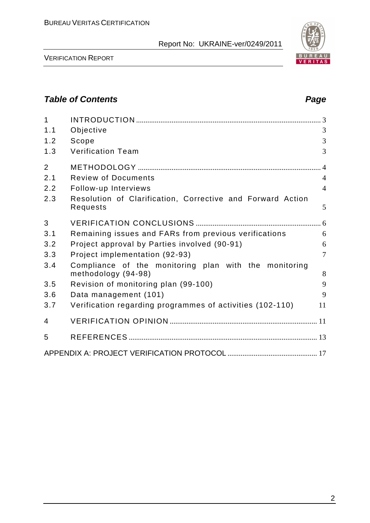

VERIFICATION REPORT

# **Table of Contents Page 2014**

| $\mathbf{1}$   |                                                                              |                |
|----------------|------------------------------------------------------------------------------|----------------|
| 1.1            | Objective                                                                    | 3              |
| 1.2            | Scope                                                                        | 3              |
| 1.3            | <b>Verification Team</b>                                                     | 3              |
| $\overline{2}$ |                                                                              |                |
| 2.1            | <b>Review of Documents</b>                                                   | $\overline{4}$ |
| 2.2            | Follow-up Interviews                                                         | $\overline{4}$ |
| 2.3            | Resolution of Clarification, Corrective and Forward Action<br>Requests       | 5              |
| 3              |                                                                              |                |
| 3.1            | Remaining issues and FARs from previous verifications                        | 6              |
| 3.2            | Project approval by Parties involved (90-91)                                 | 6              |
| 3.3            | Project implementation (92-93)                                               | $\overline{7}$ |
| 3.4            | Compliance of the monitoring plan with the monitoring<br>methodology (94-98) | 8              |
| 3.5            | Revision of monitoring plan (99-100)                                         | 9              |
| 3.6            | Data management (101)                                                        | 9              |
| 3.7            | Verification regarding programmes of activities (102-110)                    | 11             |
| 4              |                                                                              |                |
| 5              |                                                                              |                |
|                |                                                                              |                |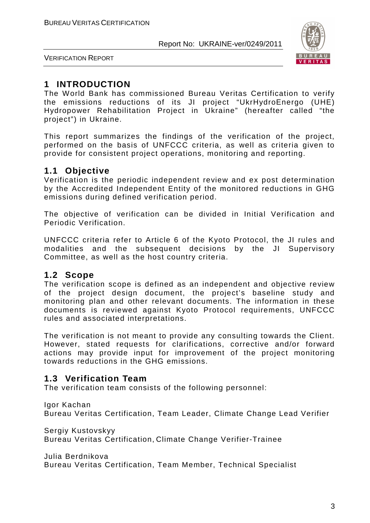

VERIFICATION REPORT

# **1 INTRODUCTION**

The World Bank has commissioned Bureau Veritas Certification to verify the emissions reductions of its JI project "UkrHydroEnergo (UHE) Hydropower Rehabilitation Project in Ukraine" (hereafter called "the project") in Ukraine.

This report summarizes the findings of the verification of the project, performed on the basis of UNFCCC criteria, as well as criteria given to provide for consistent project operations, monitoring and reporting.

# **1.1 Objective**

Verification is the periodic independent review and ex post determination by the Accredited Independent Entity of the monitored reductions in GHG emissions during defined verification period.

The objective of verification can be divided in Initial Verification and Periodic Verification.

UNFCCC criteria refer to Article 6 of the Kyoto Protocol, the JI rules and modalities and the subsequent decisions by the JI Supervisory Committee, as well as the host country criteria.

# **1.2 Scope**

The verification scope is defined as an independent and objective review of the project design document, the project's baseline study and monitoring plan and other relevant documents. The information in these documents is reviewed against Kyoto Protocol requirements, UNFCCC rules and associated interpretations.

The verification is not meant to provide any consulting towards the Client. However, stated requests for clarifications, corrective and/or forward actions may provide input for improvement of the project monitoring towards reductions in the GHG emissions.

# **1.3 Verification Team**

The verification team consists of the following personnel:

Igor Kachan

Bureau Veritas Certification, Team Leader, Climate Change Lead Verifier

Sergiy Kustovskyy

Bureau Veritas Certification, Climate Change Verifier-Trainee

Julia Berdnikova

Bureau Veritas Certification, Team Member, Technical Specialist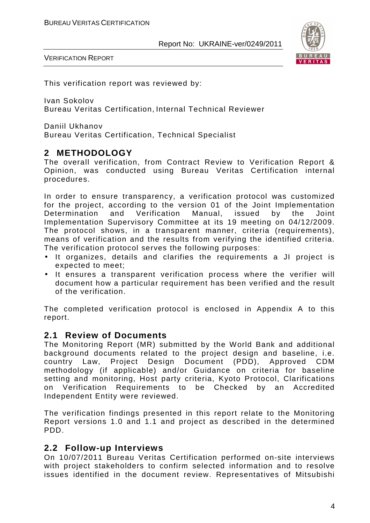

VERIFICATION REPORT

This verification report was reviewed by:

Ivan Sokolov Bureau Veritas Certification, Internal Technical Reviewer

Daniil Ukhanov Bureau Veritas Certification, Technical Specialist

#### **2 METHODOLOGY**

The overall verification, from Contract Review to Verification Report & Opinion, was conducted using Bureau Veritas Certification internal procedures.

In order to ensure transparency, a verification protocol was customized for the project, according to the version 01 of the Joint Implementation Determination and Verification Manual, issued by the Joint Implementation Supervisory Committee at its 19 meeting on 04/12/2009. The protocol shows, in a transparent manner, criteria (requirements), means of verification and the results from verifying the identified criteria. The verification protocol serves the following purposes:

- It organizes, details and clarifies the requirements a JI project is expected to meet;
- It ensures a transparent verification process where the verifier will document how a particular requirement has been verified and the result of the verification.

The completed verification protocol is enclosed in Appendix A to this report.

#### **2.1 Review of Documents**

The Monitoring Report (MR) submitted by the World Bank and additional background documents related to the project design and baseline, i.e. country Law, Project Design Document (PDD), Approved CDM methodology (if applicable) and/or Guidance on criteria for baseline setting and monitoring, Host party criteria, Kyoto Protocol, Clarifications on Verification Requirements to be Checked by an Accredited Independent Entity were reviewed.

The verification findings presented in this report relate to the Monitoring Report versions 1.0 and 1.1 and project as described in the determined PDD.

#### **2.2 Follow-up Interviews**

On 10/07/2011 Bureau Veritas Certification performed on-site interviews with project stakeholders to confirm selected information and to resolve issues identified in the document review. Representatives of Mitsubishi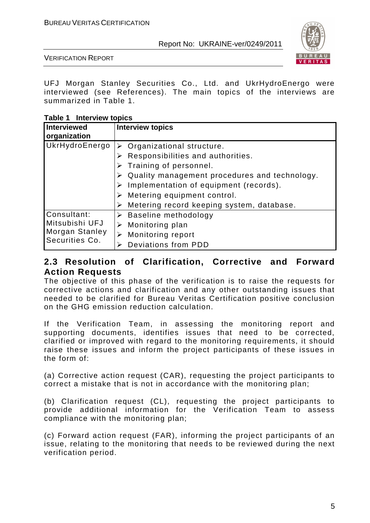

VERIFICATION REPORT

UFJ Morgan Stanley Securities Co., Ltd. and UkrHydroEnergo were interviewed (see References). The main topics of the interviews are summarized in Table 1.

**Table 1 Interview topics** 

| Interviewed<br>organization                                       | <b>Interview topics</b>                                                                                                                                                                                                                                                          |
|-------------------------------------------------------------------|----------------------------------------------------------------------------------------------------------------------------------------------------------------------------------------------------------------------------------------------------------------------------------|
| UkrHydroEnergo                                                    | $\triangleright$ Organizational structure.<br>Responsibilities and authorities.<br>Training of personnel.<br>Quality management procedures and technology.<br>Implementation of equipment (records).<br>Metering equipment control.<br>Metering record keeping system, database. |
| Consultant:<br>Mitsubishi UFJ<br>Morgan Stanley<br>Securities Co. | $\triangleright$ Baseline methodology<br>Monitoring plan<br>Monitoring report<br>Deviations from PDD                                                                                                                                                                             |

#### **2.3 Resolution of Clarification, Corrective and Forward Action Requests**

The objective of this phase of the verification is to raise the requests for corrective actions and clarification and any other outstanding issues that needed to be clarified for Bureau Veritas Certification positive conclusion on the GHG emission reduction calculation.

If the Verification Team, in assessing the monitoring report and supporting documents, identifies issues that need to be corrected, clarified or improved with regard to the monitoring requirements, it should raise these issues and inform the project participants of these issues in the form of:

(a) Corrective action request (CAR), requesting the project participants to correct a mistake that is not in accordance with the monitoring plan;

(b) Clarification request (CL), requesting the project participants to provide additional information for the Verification Team to assess compliance with the monitoring plan;

(c) Forward action request (FAR), informing the project participants of an issue, relating to the monitoring that needs to be reviewed during the next verification period.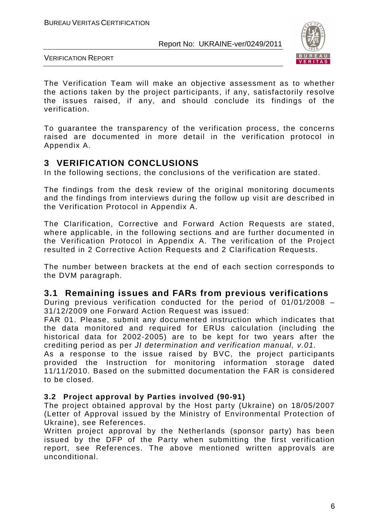

VERIFICATION REPORT

The Verification Team will make an objective assessment as to whether the actions taken by the project participants, if any, satisfactorily resolve the issues raised, if any, and should conclude its findings of the verification.

To guarantee the transparency of the verification process, the concerns raised are documented in more detail in the verification protocol in Appendix A.

#### **3 VERIFICATION CONCLUSIONS**

In the following sections, the conclusions of the verification are stated.

The findings from the desk review of the original monitoring documents and the findings from interviews during the follow up visit are described in the Verification Protocol in Appendix A.

The Clarification, Corrective and Forward Action Requests are stated, where applicable, in the following sections and are further documented in the Verification Protocol in Appendix A. The verification of the Project resulted in 2 Corrective Action Requests and 2 Clarification Requests.

The number between brackets at the end of each section corresponds to the DVM paragraph.

#### **3.1 Remaining issues and FARs from previous verifications**

During previous verification conducted for the period of 01/01/2008 – 31/12/2009 one Forward Action Request was issued:

FAR 01. Please, submit any documented instruction which indicates that the data monitored and required for ERUs calculation (including the historical data for 2002-2005) are to be kept for two years after the crediting period as per JI determination and verification manual, v.01.

As a response to the issue raised by BVC, the project participants provided the Instruction for monitoring information storage dated 11/11/2010. Based on the submitted documentation the FAR is considered to be closed.

#### **3.2 Project approval by Parties involved (90-91)**

The project obtained approval by the Host party (Ukraine) on 18/05/2007 (Letter of Approval issued by the Ministry of Environmental Protection of Ukraine), see References.

Written project approval by the Netherlands (sponsor party) has been issued by the DFP of the Party when submitting the first verification report, see References. The above mentioned written approvals are unconditional.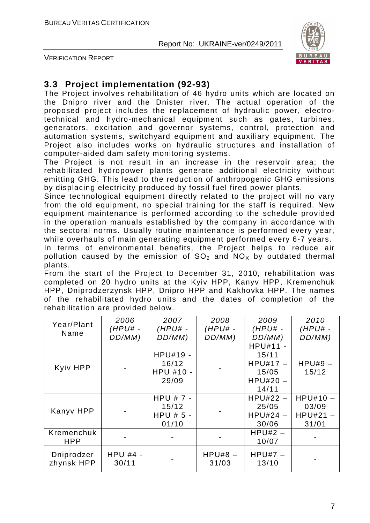



# **3.3 Project implementation (92-93)**

The Project involves rehabilitation of 46 hydro units which are located on the Dnipro river and the Dnister river. The actual operation of the proposed project includes the replacement of hydraulic power, electrotechnical and hydro-mechanical equipment such as gates, turbines, generators, excitation and governor systems, control, protection and automation systems, switchyard equipment and auxiliary equipment. The Project also includes works on hydraulic structures and installation of computer-aided dam safety monitoring systems.

The Project is not result in an increase in the reservoir area; the rehabilitated hydropower plants generate additional electricity without emitting GHG. This lead to the reduction of anthropogenic GHG emissions by displacing electricity produced by fossil fuel fired power plants.

Since technological equipment directly related to the project will no vary from the old equipment, no special training for the staff is required. New equipment maintenance is performed according to the schedule provided in the operation manuals established by the company in accordance with the sectoral norms. Usually routine maintenance is performed every year, while overhauls of main generating equipment performed every 6-7 years.

In terms of environmental benefits, the Project helps to reduce air pollution caused by the emission of  $SO<sub>2</sub>$  and  $NO<sub>X</sub>$  by outdated thermal plants.

From the start of the Project to December 31, 2010, rehabilitation was completed on 20 hydro units at the Kyiv HPP, Kanyv HPP, Kremenchuk HPP, Dniprodzerzynsk HPP, Dnipro HPP and Kakhovka HPP. The names of the rehabilitated hydro units and the dates of completion of the rehabilitation are provided below.

| Year/Plant<br>Name       | 2006<br>$(HPU# -$<br>DD/MM) | 2007<br>$(HPU# -$<br>DD/MM)                  | 2008<br>$(HPU# -$<br>DD/MM) | 2009<br>$(HPU# -$<br>DD/MM)                                     | 2010<br>(HPU# -<br>DD/MM)                  |
|--------------------------|-----------------------------|----------------------------------------------|-----------------------------|-----------------------------------------------------------------|--------------------------------------------|
| Kyiv HPP                 |                             | HPU#19 -<br>16/12<br>HPU #10 -<br>29/09      |                             | HPU#11 -<br>15/11<br>$HPU#17 -$<br>15/05<br>$HPU#20 -$<br>14/11 | $HPU#9 -$<br>15/12                         |
| Kanyv HPP                |                             | HPU $# 7 -$<br>15/12<br>$HPU # 5 -$<br>01/10 |                             | $HPU#22 -$<br>25/05<br>$HPU#24 -$<br>30/06                      | $HPU#10 -$<br>03/09<br>$HPU#21 -$<br>31/01 |
| Kremenchuk<br><b>HPP</b> |                             |                                              |                             | $HPU#2 -$<br>10/07                                              |                                            |
| Dniprodzer<br>zhynsk HPP | <b>HPU #4 -</b><br>30/11    |                                              | $HPU#8 -$<br>31/03          | $HPU#7 -$<br>13/10                                              |                                            |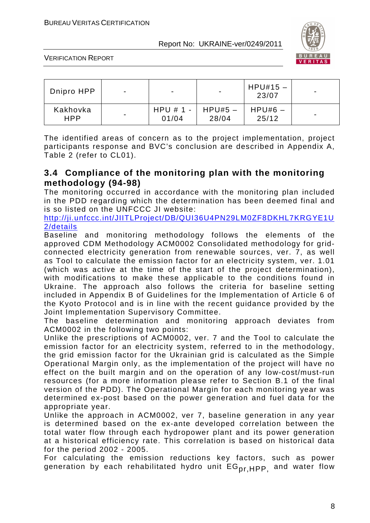

VERIFICATION REPORT

| Dnipro HPP             | $\overline{\phantom{0}}$ | $\blacksquare$         | $\blacksquare$     | $HPU#15 -$<br>23/07 | $\blacksquare$           |
|------------------------|--------------------------|------------------------|--------------------|---------------------|--------------------------|
| Kakhovka<br><b>HPP</b> | $\blacksquare$           | $HPU # 1 - I$<br>01/04 | $HPU#5$ –<br>28/04 | $HPU#6 -$<br>25/12  | $\overline{\phantom{0}}$ |

The identified areas of concern as to the project implementation, project participants response and BVC's conclusion are described in Appendix A, Table 2 (refer to CL01).

#### **3.4 Compliance of the monitoring plan with the monitoring methodology (94-98)**

The monitoring occurred in accordance with the monitoring plan included in the PDD regarding which the determination has been deemed final and is so listed on the UNFCCC JI website:

http://ji.unfccc.int/JIITLProject/DB/QUI36U4PN29LM0ZF8DKHL7KRGYE1U 2/details

Baseline and monitoring methodology follows the elements of the approved CDM Methodology ACM0002 Consolidated methodology for gridconnected electricity generation from renewable sources, ver. 7, as well as Tool to calculate the emission factor for an electricity system, ver. 1.01 (which was active at the time of the start of the project determination), with modifications to make these applicable to the conditions found in Ukraine. The approach also follows the criteria for baseline setting included in Appendix B of Guidelines for the Implementation of Article 6 of the Kyoto Protocol and is in line with the recent guidance provided by the Joint Implementation Supervisory Committee.

The baseline determination and monitoring approach deviates from ACM0002 in the following two points:

Unlike the prescriptions of ACM0002, ver. 7 and the Tool to calculate the emission factor for an electricity system, referred to in the methodology, the grid emission factor for the Ukrainian grid is calculated as the Simple Operational Margin only, as the implementation of the project will have no effect on the built margin and on the operation of any low-cost/must-run resources (for a more information please refer to Section B.1 of the final version of the PDD). The Operational Margin for each monitoring year was determined ex-post based on the power generation and fuel data for the appropriate year.

Unlike the approach in ACM0002, ver 7, baseline generation in any year is determined based on the ex-ante developed correlation between the total water flow through each hydropower plant and its power generation at a historical efficiency rate. This correlation is based on historical data for the period 2002 - 2005.

For calculating the emission reductions key factors, such as power generation by each rehabilitated hydro unit EG<sub>pr.HPP,</sub> and water flow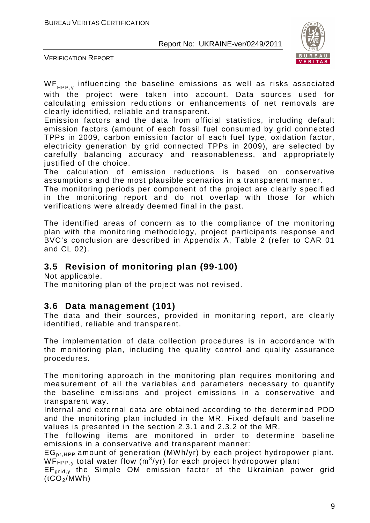

VERIFICATION REPORT

 $WF_{\text{unp}}$  influencing the baseline emissions as well as risks associated

with the project were taken into account. Data sources used for calculating emission reductions or enhancements of net removals are clearly identified, reliable and transparent.

Emission factors and the data from official statistics, including default emission factors (amount of each fossil fuel consumed by grid connected TPPs in 2009, carbon emission factor of each fuel type, oxidation factor, electricity generation by grid connected TPPs in 2009), are selected by carefully balancing accuracy and reasonableness, and appropriately justified of the choice.

The calculation of emission reductions is based on conservative assumptions and the most plausible scenarios in a transparent manner.

The monitoring periods per component of the project are clearly specified in the monitoring report and do not overlap with those for which verifications were already deemed final in the past.

The identified areas of concern as to the compliance of the monitoring plan with the monitoring methodology, project participants response and BVC's conclusion are described in Appendix A, Table 2 (refer to CAR 01 and CL 02).

# **3.5 Revision of monitoring plan (99-100)**

Not applicable.

The monitoring plan of the project was not revised.

#### **3.6 Data management (101)**

The data and their sources, provided in monitoring report, are clearly identified, reliable and transparent.

The implementation of data collection procedures is in accordance with the monitoring plan, including the quality control and quality assurance procedures.

The monitoring approach in the monitoring plan requires monitoring and measurement of all the variables and parameters necessary to quantify the baseline emissions and project emissions in a conservative and transparent way.

Internal and external data are obtained according to the determined PDD and the monitoring plan included in the MR. Fixed default and baseline values is presented in the section 2.3.1 and 2.3.2 of the MR.

The following items are monitored in order to determine baseline emissions in a conservative and transparent manner:

 $EG_{pr}$  HPP amount of generation (MWh/yr) by each project hydropower plant.  $WF_{HPP,y}$  total water flow (m<sup>3</sup>/yr) for each project hydropower plant

 $EF_{\text{grid},v}$  the Simple OM emission factor of the Ukrainian power grid  $(tCO<sub>2</sub>/MWh)$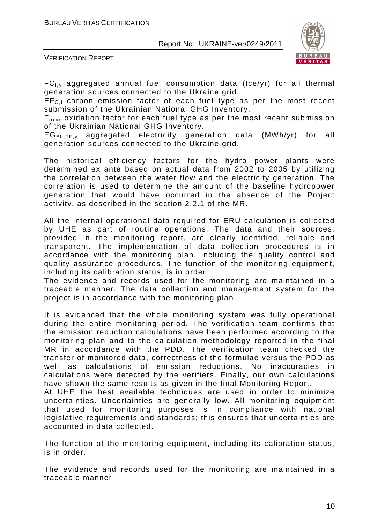

VERIFICATION REPORT

 $FC_{i,y}$  aggregated annual fuel consumption data (tce/yr) for all thermal generation sources connected to the Ukraine grid.

 $EF_{C,I}$  carbon emission factor of each fuel type as per the most recent submission of the Ukrainian National GHG Inventory.

F<sub>oxyd</sub> oxidation factor for each fuel type as per the most recent submission of the Ukrainian National GHG Inventory.

 $EG_{BL,FF,v}$  aggregated electricity generation data (MWh/yr) for all generation sources connected to the Ukraine grid.

The historical efficiency factors for the hydro power plants were determined ex ante based on actual data from 2002 to 2005 by utilizing the correlation between the water flow and the electricity generation. The correlation is used to determine the amount of the baseline hydropower generation that would have occurred in the absence of the Project activity, as described in the section 2.2.1 of the MR.

All the internal operational data required for ERU calculation is collected by UHE as part of routine operations. The data and their sources, provided in the monitoring report, are clearly identified, reliable and transparent. The implementation of data collection procedures is in accordance with the monitoring plan, including the quality control and quality assurance procedures. The function of the monitoring equipment, including its calibration status, is in order.

The evidence and records used for the monitoring are maintained in a traceable manner. The data collection and management system for the project is in accordance with the monitoring plan.

It is evidenced that the whole monitoring system was fully operational during the entire monitoring period. The verification team confirms that the emission reduction calculations have been performed according to the monitoring plan and to the calculation methodology reported in the final MR in accordance with the PDD. The verification team checked the transfer of monitored data, correctness of the formulae versus the PDD as well as calculations of emission reductions. No inaccuracies in calculations were detected by the verifiers. Finally, our own calculations have shown the same results as given in the final Monitoring Report.

At UHE the best available techniques are used in order to minimize uncertainties. Uncertainties are generally low. All monitoring equipment that used for monitoring purposes is in compliance with national legislative requirements and standards; this ensures that uncertainties are accounted in data collected.

The function of the monitoring equipment, including its calibration status, is in order.

The evidence and records used for the monitoring are maintained in a traceable manner.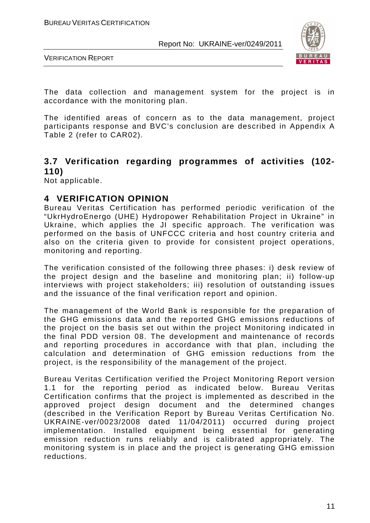

VERIFICATION REPORT

The data collection and management system for the project is in accordance with the monitoring plan.

The identified areas of concern as to the data management, project participants response and BVC's conclusion are described in Appendix A Table 2 (refer to CAR02).

# **3.7 Verification regarding programmes of activities (102- 110)**

Not applicable.

#### **4 VERIFICATION OPINION**

Bureau Veritas Certification has performed periodic verification of the "UkrHydroEnergo (UHE) Hydropower Rehabilitation Project in Ukraine" in Ukraine, which applies the JI specific approach. The verification was performed on the basis of UNFCCC criteria and host country criteria and also on the criteria given to provide for consistent project operations, monitoring and reporting.

The verification consisted of the following three phases: i) desk review of the project design and the baseline and monitoring plan; ii) follow-up interviews with project stakeholders; iii) resolution of outstanding issues and the issuance of the final verification report and opinion.

The management of the World Bank is responsible for the preparation of the GHG emissions data and the reported GHG emissions reductions of the project on the basis set out within the project Monitoring indicated in the final PDD version 08. The development and maintenance of records and reporting procedures in accordance with that plan, including the calculation and determination of GHG emission reductions from the project, is the responsibility of the management of the project.

Bureau Veritas Certification verified the Project Monitoring Report version 1.1 for the reporting period as indicated below. Bureau Veritas Certification confirms that the project is implemented as described in the approved project design document and the determined changes (described in the Verification Report by Bureau Veritas Certification No. UKRAINE-ver/0023/2008 dated 11/04/2011) occurred during project implementation. Installed equipment being essential for generating emission reduction runs reliably and is calibrated appropriately. The monitoring system is in place and the project is generating GHG emission reductions.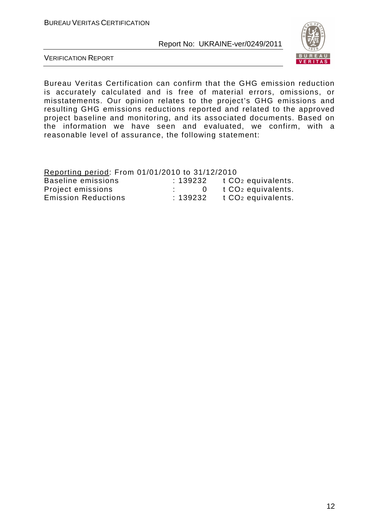![](_page_12_Picture_2.jpeg)

VERIFICATION REPORT

Bureau Veritas Certification can confirm that the GHG emission reduction is accurately calculated and is free of material errors, omissions, or misstatements. Our opinion relates to the project's GHG emissions and resulting GHG emissions reductions reported and related to the approved project baseline and monitoring, and its associated documents. Based on the information we have seen and evaluated, we confirm, with a reasonable level of assurance, the following statement:

Reporting period: From 01/01/2010 to 31/12/2010

| Baseline emissions         | :139232 | t CO <sub>2</sub> equivalents. |
|----------------------------|---------|--------------------------------|
| Project emissions          |         | t CO <sub>2</sub> equivalents. |
| <b>Emission Reductions</b> | :139232 | t CO <sub>2</sub> equivalents. |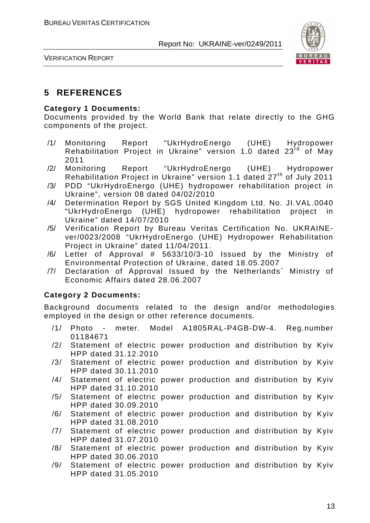![](_page_13_Picture_2.jpeg)

VERIFICATION REPORT

# **5 REFERENCES**

#### **Category 1 Documents:**

Documents provided by the World Bank that relate directly to the GHG components of the project.

- /1/ Monitoring Report "UkrHydroEnergo (UHE) Hydropower Rehabilitation Project in Ukraine" version 1.0 dated 23rd of May 2011
- /2/ Monitoring Report "UkrHydroEnergo (UHE) Hydropower Rehabilitation Project in Ukraine" version 1.1 dated 27<sup>th</sup> of July 2011
- /3/ PDD "UkrHydroEnergo (UHE) hydropower rehabilitation project in Ukraine", version 08 dated 04/02/2010
- /4/ Determination Report by SGS United Kingdom Ltd. No. JI.VAL.0040 "UkrHydroEnergo (UHE) hydropower rehabilitation project in Ukraine" dated 14/07/2010
- /5/ Verification Report by Bureau Veritas Certification No. UKRAINEver/0023/2008 "UkrHydroEnergo (UHE) Hydropower Rehabilitation Project in Ukraine" dated 11/04/2011.
- /6/ Letter of Approval # 5633/10/3-10 Issued by the Ministry of Environmental Protection of Ukraine, dated 18.05.2007
- /7/ Declaration of Approval Issued by the Netherlands` Ministry of Economic Affairs dated 28.06.2007

#### **Category 2 Documents:**

Background documents related to the design and/or methodologies employed in the design or other reference documents.

- /1/ Photo meter. Model A1805RAL-P4GB-DW-4. Reg.number 01184671
- /2/ Statement of electric power production and distribution by Kyiv HPP dated 31.12.2010
- /3/ Statement of electric power production and distribution by Kyiv HPP dated 30.11.2010
- /4/ Statement of electric power production and distribution by Kyiv HPP dated 31.10.2010
- /5/ Statement of electric power production and distribution by Kyiv HPP dated 30.09.2010
- /6/ Statement of electric power production and distribution by Kyiv HPP dated 31.08.2010
- /7/ Statement of electric power production and distribution by Kyiv HPP dated 31.07.2010
- /8/ Statement of electric power production and distribution by Kyiv HPP dated 30.06.2010
- /9/ Statement of electric power production and distribution by Kyiv HPP dated 31.05.2010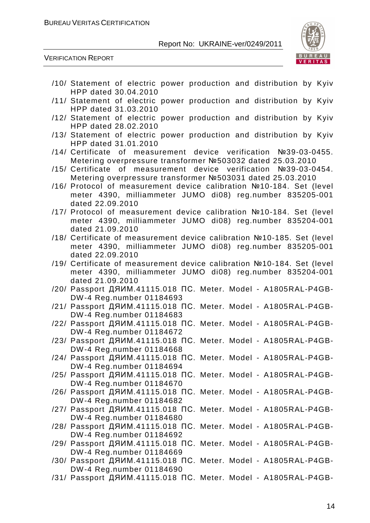![](_page_14_Picture_2.jpeg)

VERIFICATION REPORT

HPP dated 30.04.2010 /11/ Statement of electric power production and distribution by Kyiv HPP dated 31.03.2010 /12/ Statement of electric power production and distribution by Kyiv HPP dated 28.02.2010 /13/ Statement of electric power production and distribution by Kyiv HPP dated 31.01.2010 /14/ Certificate of measurement device verification №39-03-0455. Metering overpressure transformer №503032 dated 25.03.2010

/10/ Statement of electric power production and distribution by Kyiv

- /15/ Certificate of measurement device verification №39-03-0454. Metering overpressure transformer №503031 dated 25.03.2010
- /16/ Protocol of measurement device calibration №10-184. Set (level meter 4390, milliammeter JUMO di08) reg.number 835205-001 dated 22.09.2010
- /17/ Protocol of measurement device calibration №10-184. Set (level meter 4390, milliammeter JUMO di08) reg.number 835204-001 dated 21.09.2010
- /18/ Certificate of measurement device calibration №10-185. Set (level meter 4390, milliammeter JUMO di08) reg.number 835205-001 dated 22.09.2010
- /19/ Certificate of measurement device calibration №10-184. Set (level meter 4390, milliammeter JUMO di08) reg.number 835204-001 dated 21.09.2010
- /20/ Passport ДЯИМ.41115.018 ПС. Meter. Model A1805RAL-P4GB-DW-4 Reg.number 01184693
- /21/ Passport ДЯИМ.41115.018 ПС. Meter. Model A1805RAL-P4GB-DW-4 Reg.number 01184683
- /22/ Passport ДЯИМ.41115.018 ПС. Meter. Model A1805RAL-P4GB-DW-4 Reg.number 01184672
- /23/ Passport ДЯИМ.41115.018 ПС. Meter. Model A1805RAL-P4GB-DW-4 Reg.number 01184668
- /24/ Passport ДЯИМ.41115.018 ПС. Meter. Model A1805RAL-P4GB-DW-4 Reg.number 01184694
- /25/ Passport ДЯИМ.41115.018 ПС. Meter. Model A1805RAL-P4GB-DW-4 Reg.number 01184670
- /26/ Passport ДЯИМ.41115.018 ПС. Meter. Model A1805RAL-P4GB-DW-4 Reg.number 01184682
- /27/ Passport ДЯИМ.41115.018 ПС. Meter. Model A1805RAL-P4GB-DW-4 Reg.number 01184680
- /28/ Passport ДЯИМ.41115.018 ПС. Meter. Model A1805RAL-P4GB-DW-4 Reg.number 01184692
- /29/ Passport ДЯИМ.41115.018 ПС. Meter. Model A1805RAL-P4GB-DW-4 Reg.number 01184669
- /30/ Passport ДЯИМ.41115.018 ПС. Meter. Model A1805RAL-P4GB-DW-4 Reg.number 01184690
- /31/ Passport ДЯИМ.41115.018 ПС. Meter. Model A1805RAL-P4GB-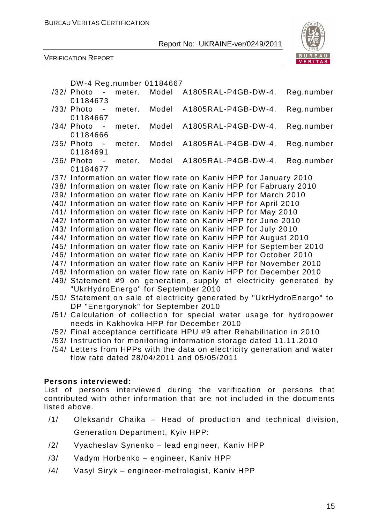![](_page_15_Picture_2.jpeg)

![](_page_15_Picture_3.jpeg)

DW-4 Reg.number 01184667

|  | /32/ Photo -<br>01184673            | meter. | Model | A1805RAL-P4GB-DW-4.                                                      | Reg.number |
|--|-------------------------------------|--------|-------|--------------------------------------------------------------------------|------------|
|  | /33/ Photo -                        | meter. | Model | A1805RAL-P4GB-DW-4.                                                      | Reg.number |
|  | 01184667<br>/34/ Photo<br>$\sim$    | meter. | Model | A1805RAL-P4GB-DW-4.                                                      | Reg.number |
|  | 01184666<br>/35/ Photo -            | meter. | Model | A1805RAL-P4GB-DW-4.                                                      | Reg.number |
|  | 01184691<br>/36/ Photo -            | meter. | Model | A1805RAL-P4GB-DW-4.                                                      | Reg.number |
|  | 01184677                            |        |       |                                                                          |            |
|  |                                     |        |       | /37/ Information on water flow rate on Kaniv HPP for January 2010        |            |
|  |                                     |        |       | /38/ Information on water flow rate on Kaniv HPP for Fabruary 2010       |            |
|  |                                     |        |       | /39/ Information on water flow rate on Kaniv HPP for March 2010          |            |
|  |                                     |        |       | /40/ Information on water flow rate on Kaniv HPP for April 2010          |            |
|  |                                     |        |       | /41/ Information on water flow rate on Kaniv HPP for May 2010            |            |
|  |                                     |        |       | /42/ Information on water flow rate on Kaniv HPP for June 2010           |            |
|  |                                     |        |       | /43/ Information on water flow rate on Kaniv HPP for July 2010           |            |
|  |                                     |        |       | /44/ Information on water flow rate on Kaniv HPP for August 2010         |            |
|  |                                     |        |       | /45/ Information on water flow rate on Kaniv HPP for September 2010      |            |
|  |                                     |        |       | /46/ Information on water flow rate on Kaniv HPP for October 2010        |            |
|  |                                     |        |       | /47/ Information on water flow rate on Kaniv HPP for November 2010       |            |
|  |                                     |        |       | /48/ Information on water flow rate on Kaniv HPP for December 2010       |            |
|  |                                     |        |       | /49/ Statement #9 on generation, supply of electricity generated by      |            |
|  | "UkrHydroEnergo" for September 2010 |        |       |                                                                          |            |
|  |                                     |        |       | /50/ Statement on sale of electricity generated by "UkrHydroEnergo" to   |            |
|  | DP "Energorynok" for September 2010 |        |       |                                                                          |            |
|  |                                     |        |       | /51/ Calculation of collection for special water usage for hydropower    |            |
|  |                                     |        |       | needs in Kakhovka HPP for December 2010                                  |            |
|  |                                     |        |       | /52/ Final acceptance certificate HPU #9 after Rehabilitation in 2010    |            |
|  |                                     |        |       | /53/ Instruction for monitoring information storage dated 11.11.2010     |            |
|  |                                     |        |       | /54/ Letters from HPPs with the data on electricity generation and water |            |
|  |                                     |        |       | flow rate dated 28/04/2011 and 05/05/2011                                |            |

#### **Persons interviewed:**

List of persons interviewed during the verification or persons that contributed with other information that are not included in the documents listed above.

- /1/ Oleksandr Chaika Head of production and technical division, Generation Department, Kyiv HPP:
- /2/ Vyacheslav Synenko lead engineer, Kaniv HPP
- /3/ Vadym Horbenko engineer, Kaniv HPP
- /4/ Vasyl Siryk engineer-metrologist, Kaniv HPP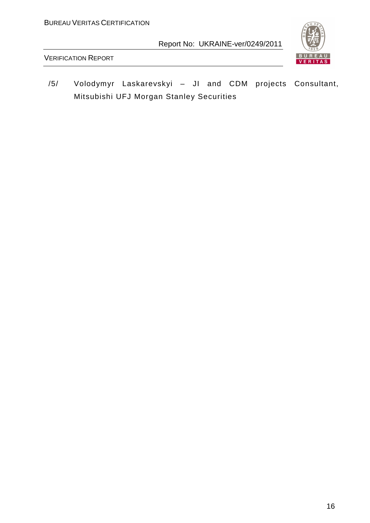![](_page_16_Picture_2.jpeg)

VERIFICATION REPORT

/5/ Volodymyr Laskarevskyi – JI and CDM projects Consultant, Mitsubishi UFJ Morgan Stanley Securities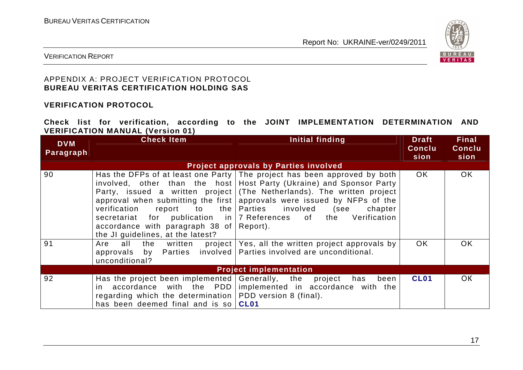![](_page_17_Picture_2.jpeg)

VERIFICATION REPORT

#### APPENDIX A: PROJECT VERIFICATION PROTOCOL **BUREAU VERITAS CERTIFICATION HOLDING SAS**

#### **VERIFICATION PROTOCOL**

**Check list for verification, according to the JOINT IMPLEMENTATION DETERMINATION AND VERIFICATION MANUAL (Version 01)** 

| <b>DVM</b><br><b>Paragraph</b> | <b>Check Item</b>                                                                                                                                                     | Initial finding                                                                                                                                                                                                                                                                                                                                                                                                                 | <b>Draft</b><br><b>Conclu</b><br>sion | <b>Final</b><br><b>Conclu</b><br>sion |
|--------------------------------|-----------------------------------------------------------------------------------------------------------------------------------------------------------------------|---------------------------------------------------------------------------------------------------------------------------------------------------------------------------------------------------------------------------------------------------------------------------------------------------------------------------------------------------------------------------------------------------------------------------------|---------------------------------------|---------------------------------------|
|                                |                                                                                                                                                                       | <b>Project approvals by Parties involved</b>                                                                                                                                                                                                                                                                                                                                                                                    |                                       |                                       |
| 90                             | verification<br>accordance with paragraph 38 of $\sqrt{3}$ Report).<br>the JI guidelines, at the latest?                                                              | Has the DFPs of at least one Party   The project has been approved by both<br>involved, other than the host Host Party (Ukraine) and Sponsor Party<br>Party, issued a written project (The Netherlands). The written project<br>approval when submitting the first approvals were issued by NFPs of the<br>report to the Parties involved<br>(see<br>chapter<br>secretariat for publication in 7 References of the Verification | <b>OK</b>                             | OK.                                   |
| 91                             | all<br>Are<br>approvals by Parties involved   Parties involved are unconditional.<br>unconditional?                                                                   | the written project Yes, all the written project approvals by                                                                                                                                                                                                                                                                                                                                                                   | OK.                                   | OK.                                   |
|                                |                                                                                                                                                                       | <b>Project implementation</b>                                                                                                                                                                                                                                                                                                                                                                                                   |                                       |                                       |
| 92                             | Has the project been implemented $ $ Generally, the project<br>regarding which the determination   PDD version 8 (final).<br>has been deemed final and is so $ CL01 $ | been<br>has<br>in accordance with the PDD implemented in accordance with the                                                                                                                                                                                                                                                                                                                                                    | <b>CL01</b>                           | OK.                                   |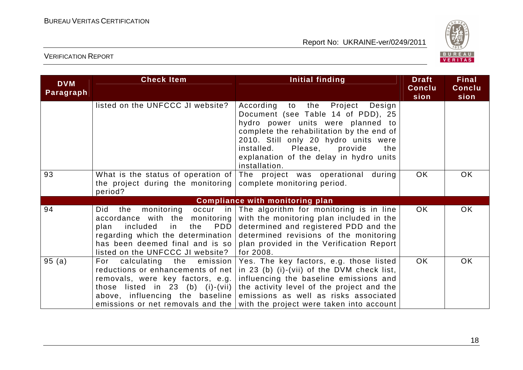![](_page_18_Picture_2.jpeg)

| <b>DVM</b><br>Paragraph | <b>Check Item</b>                                                                                                                                                                                                 | <b>Initial finding</b>                                                                                                                                                                                                                                                                                       | <b>Draft</b><br>Conclu<br>sion | <b>Final</b><br>Conclu<br>sion |
|-------------------------|-------------------------------------------------------------------------------------------------------------------------------------------------------------------------------------------------------------------|--------------------------------------------------------------------------------------------------------------------------------------------------------------------------------------------------------------------------------------------------------------------------------------------------------------|--------------------------------|--------------------------------|
|                         | listed on the UNFCCC JI website?                                                                                                                                                                                  | According to<br>the<br>Project<br>Design<br>Document (see Table 14 of PDD), 25<br>hydro power units were planned to<br>complete the rehabilitation by the end of<br>2010. Still only 20 hydro units were<br>installed. Please,<br>provide<br>the<br>explanation of the delay in hydro units<br>installation. |                                |                                |
| 93                      | What is the status of operation of<br>the project during the monitoring<br>period?                                                                                                                                | The project was operational during<br>complete monitoring period.                                                                                                                                                                                                                                            | <b>OK</b>                      | <b>OK</b>                      |
|                         |                                                                                                                                                                                                                   | <b>Compliance with monitoring plan</b>                                                                                                                                                                                                                                                                       |                                |                                |
| 94                      | monitoring<br>Did<br>the<br>accordance with the monitoring<br>PDD<br>included<br>the<br>plan<br>in<br>regarding which the determination<br>has been deemed final and is so<br>listed on the UNFCCC JI website?    | occur in The algorithm for monitoring is in line<br>with the monitoring plan included in the<br>determined and registered PDD and the<br>determined revisions of the monitoring<br>plan provided in the Verification Report<br>for 2008.                                                                     | OK                             | OK                             |
| 95(a)                   | For calculating the emission<br>reductions or enhancements of net<br>removals, were key factors, e.g.<br>those listed in 23 (b) (i)-(vii)<br>above, influencing the baseline<br>emissions or net removals and the | Yes. The key factors, e.g. those listed<br>in 23 (b) (i)-(vii) of the DVM check list,<br>influencing the baseline emissions and<br>the activity level of the project and the<br>emissions as well as risks associated<br>with the project were taken into account                                            | OK.                            | <b>OK</b>                      |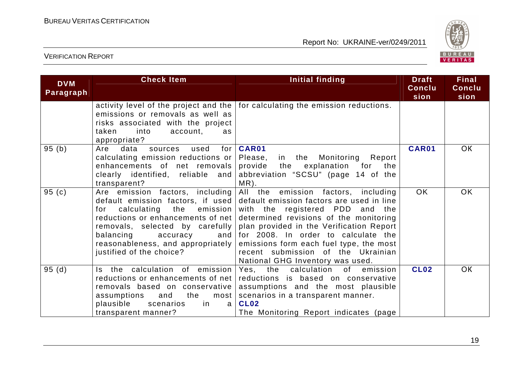![](_page_19_Picture_2.jpeg)

| <b>DVM</b><br>Paragraph | <b>Check Item</b>                                                                                                                                                                                                                                                                   | Initial finding                                                                                                                                                                                                                                                                                                                                                       | <b>Draft</b><br><b>Conclu</b><br>sion | <b>Final</b><br>Conclu<br>sion |
|-------------------------|-------------------------------------------------------------------------------------------------------------------------------------------------------------------------------------------------------------------------------------------------------------------------------------|-----------------------------------------------------------------------------------------------------------------------------------------------------------------------------------------------------------------------------------------------------------------------------------------------------------------------------------------------------------------------|---------------------------------------|--------------------------------|
|                         | emissions or removals as well as<br>risks associated with the project<br>into<br>account,<br>taken<br>as<br>appropriate?                                                                                                                                                            | activity level of the project and the   for calculating the emission reductions.                                                                                                                                                                                                                                                                                      |                                       |                                |
| 95(b)                   | for<br>Are data<br>sources used<br>calculating emission reductions or<br>enhancements of net removals<br>clearly identified, reliable and<br>transparent?                                                                                                                           | CAR01<br>Please,<br>in the Monitoring Report<br>provide the explanation for<br>the<br>abbreviation "SCSU" (page 14 of the<br>MR).                                                                                                                                                                                                                                     | CAR01                                 | OK                             |
| 95(c)                   | Are emission factors, including<br>default emission factors, if used<br>calculating the<br>emission<br>for<br>reductions or enhancements of net<br>removals, selected by carefully<br>balancing<br>accuracy<br>and<br>reasonableness, and appropriately<br>justified of the choice? | All the emission factors, including<br>default emission factors are used in line<br>with the registered PDD and the<br>determined revisions of the monitoring<br>plan provided in the Verification Report<br>for 2008. In order to calculate the<br>emissions form each fuel type, the most<br>recent submission of the Ukrainian<br>National GHG Inventory was used. | OK.                                   | <b>OK</b>                      |
| 95(d)                   | Is the calculation of emission<br>reductions or enhancements of net<br>removals based on conservative<br>the<br>assumptions<br>and<br>most<br>plausible<br>scenarios<br>in<br>a<br>transparent manner?                                                                              | calculation of<br>Yes, the<br>emission<br>reductions is based on conservative<br>assumptions and the most plausible<br>scenarios in a transparent manner.<br><b>CL02</b><br>The Monitoring Report indicates (page                                                                                                                                                     | <b>CL02</b>                           | OK                             |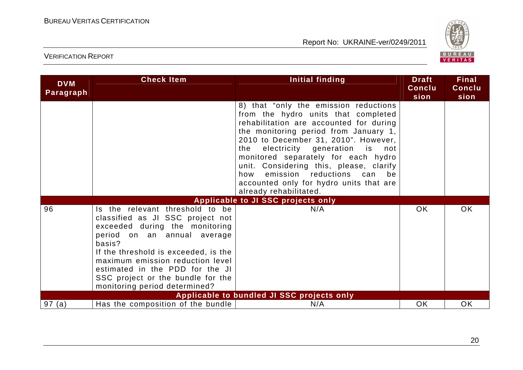![](_page_20_Picture_2.jpeg)

| <b>DVM</b><br>Paragraph | <b>Check Item</b>                                                                                                                                                                                                                                                                                                                   | <b>Initial finding</b>                                                                                                                                                                                                                                                                                                                                                                                                                             | <b>Draft</b><br>Conclu<br>sion | <b>Final</b><br><b>Conclu</b><br>sion |
|-------------------------|-------------------------------------------------------------------------------------------------------------------------------------------------------------------------------------------------------------------------------------------------------------------------------------------------------------------------------------|----------------------------------------------------------------------------------------------------------------------------------------------------------------------------------------------------------------------------------------------------------------------------------------------------------------------------------------------------------------------------------------------------------------------------------------------------|--------------------------------|---------------------------------------|
|                         |                                                                                                                                                                                                                                                                                                                                     | 8) that "only the emission reductions<br>from the hydro units that completed<br>rehabilitation are accounted for during<br>the monitoring period from January 1,<br>2010 to December 31, 2010". However,<br>electricity generation is not<br>the<br>monitored separately for each hydro<br>unit. Considering this, please, clarify<br>emission reductions<br>can<br>how<br>be<br>accounted only for hydro units that are<br>already rehabilitated. |                                |                                       |
|                         |                                                                                                                                                                                                                                                                                                                                     | Applicable to JI SSC projects only                                                                                                                                                                                                                                                                                                                                                                                                                 |                                |                                       |
| 96                      | Is the relevant threshold to be<br>classified as JI SSC project not<br>exceeded during the monitoring<br>period on an annual average<br>basis?<br>If the threshold is exceeded, is the<br>maximum emission reduction level<br>estimated in the PDD for the JI<br>SSC project or the bundle for the<br>monitoring period determined? | N/A                                                                                                                                                                                                                                                                                                                                                                                                                                                | <b>OK</b>                      | <b>OK</b>                             |
|                         |                                                                                                                                                                                                                                                                                                                                     | Applicable to bundled JI SSC projects only                                                                                                                                                                                                                                                                                                                                                                                                         |                                |                                       |
| 97(a)                   | Has the composition of the bundle                                                                                                                                                                                                                                                                                                   | N/A                                                                                                                                                                                                                                                                                                                                                                                                                                                | OK                             | <b>OK</b>                             |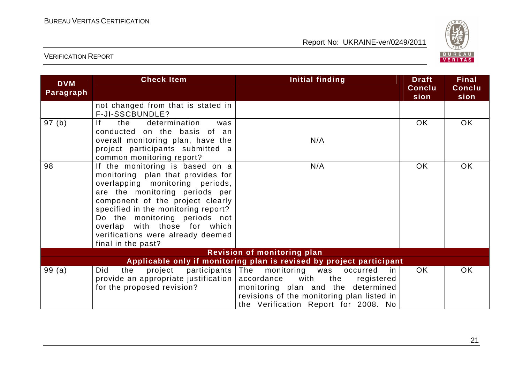![](_page_21_Picture_2.jpeg)

| <b>DVM</b><br>Paragraph | <b>Check Item</b>                                                                                                                                                                                                                                                                                                                                | Initial finding                                                                                                                                                                                         | <b>Draft</b><br>Conclu<br>sion | <b>Final</b><br><b>Conclu</b><br>sion |
|-------------------------|--------------------------------------------------------------------------------------------------------------------------------------------------------------------------------------------------------------------------------------------------------------------------------------------------------------------------------------------------|---------------------------------------------------------------------------------------------------------------------------------------------------------------------------------------------------------|--------------------------------|---------------------------------------|
|                         | not changed from that is stated in<br>F-JI-SSCBUNDLE?                                                                                                                                                                                                                                                                                            |                                                                                                                                                                                                         |                                |                                       |
| 97(b)                   | determination<br>lf.<br>the<br>was<br>conducted on the basis of an                                                                                                                                                                                                                                                                               |                                                                                                                                                                                                         | OK.                            | OK                                    |
|                         | overall monitoring plan, have the<br>project participants submitted a<br>common monitoring report?                                                                                                                                                                                                                                               | N/A                                                                                                                                                                                                     |                                |                                       |
| 98                      | If the monitoring is based on a<br>monitoring plan that provides for<br>overlapping monitoring periods,<br>are the monitoring periods per<br>component of the project clearly<br>specified in the monitoring report?<br>Do the monitoring periods not<br>overlap with those for which<br>verifications were already deemed<br>final in the past? | N/A                                                                                                                                                                                                     | <b>OK</b>                      | <b>OK</b>                             |
|                         |                                                                                                                                                                                                                                                                                                                                                  | <b>Revision of monitoring plan</b>                                                                                                                                                                      |                                |                                       |
|                         |                                                                                                                                                                                                                                                                                                                                                  | Applicable only if monitoring plan is revised by project participant                                                                                                                                    |                                |                                       |
| 99(a)                   | participants   The<br>Did<br>the<br>project<br>provide an appropriate justification<br>for the proposed revision?                                                                                                                                                                                                                                | monitoring was<br>occurred<br>in<br>accordance<br>with<br>the<br>registered<br>monitoring plan and the determined<br>revisions of the monitoring plan listed in<br>the Verification Report for 2008. No | OK.                            | <b>OK</b>                             |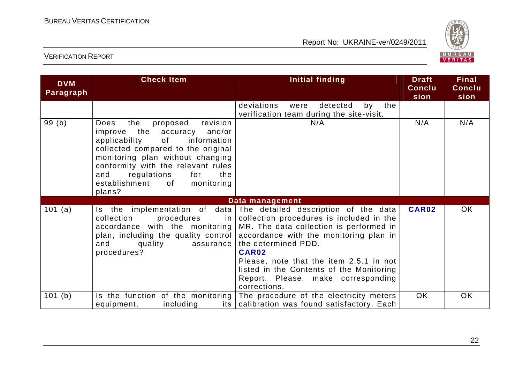![](_page_22_Picture_2.jpeg)

| <b>DVM</b><br>Paragraph | <b>Check Item</b>                                                                                                                                                                                                                                                                                           | <b>Initial finding</b>                                                                                                                                                                                                                                                                                                                             | <b>Draft</b><br>Conclu<br>sion | <b>Final</b><br>Conclu<br>sion |
|-------------------------|-------------------------------------------------------------------------------------------------------------------------------------------------------------------------------------------------------------------------------------------------------------------------------------------------------------|----------------------------------------------------------------------------------------------------------------------------------------------------------------------------------------------------------------------------------------------------------------------------------------------------------------------------------------------------|--------------------------------|--------------------------------|
|                         |                                                                                                                                                                                                                                                                                                             | deviations<br>detected<br>by<br>the<br>were<br>verification team during the site-visit.                                                                                                                                                                                                                                                            |                                |                                |
| 99(b)                   | revision<br>the<br>proposed<br>Does<br>and/or<br>improve the accuracy<br>applicability<br>0f<br>information<br>collected compared to the original<br>monitoring plan without changing<br>conformity with the relevant rules<br>regulations<br>and<br>for<br>the<br>establishment of<br>monitoring<br>plans? | N/A                                                                                                                                                                                                                                                                                                                                                | N/A                            | N/A                            |
|                         |                                                                                                                                                                                                                                                                                                             | Data management                                                                                                                                                                                                                                                                                                                                    |                                |                                |
| 101 (a)                 | Is the implementation of data<br>procedures<br>collection<br>in.<br>accordance with the monitoring<br>plan, including the quality control<br>quality<br>and<br>assurance<br>procedures?                                                                                                                     | The detailed description of the data<br>collection procedures is included in the<br>MR. The data collection is performed in<br>accordance with the monitoring plan in<br>the determined PDD.<br>CAR02<br>Please, note that the item 2.5.1 in not<br>listed in the Contents of the Monitoring<br>Report. Please, make corresponding<br>corrections. | CAR02                          | OК                             |
| 101(b)                  | Is the function of the monitoring<br>including<br>its l<br>equipment,                                                                                                                                                                                                                                       | The procedure of the electricity meters<br>calibration was found satisfactory. Each                                                                                                                                                                                                                                                                | <b>OK</b>                      | <b>OK</b>                      |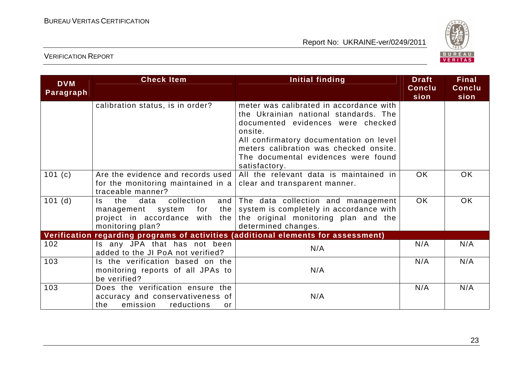![](_page_23_Picture_2.jpeg)

| <b>DVM</b><br>Paragraph | <b>Check Item</b>                                                                                                                 | Initial finding                                                                                                                                                                                                                                                               | <b>Draft</b><br><b>Conclu</b><br>sion | <b>Final</b><br><b>Conclu</b><br>sion |
|-------------------------|-----------------------------------------------------------------------------------------------------------------------------------|-------------------------------------------------------------------------------------------------------------------------------------------------------------------------------------------------------------------------------------------------------------------------------|---------------------------------------|---------------------------------------|
|                         | calibration status, is in order?                                                                                                  | meter was calibrated in accordance with<br>the Ukrainian national standards. The<br>documented evidences were checked<br>onsite.<br>All confirmatory documentation on level<br>meters calibration was checked onsite.<br>The documental evidences were found<br>satisfactory. |                                       |                                       |
| 101(c)                  | Are the evidence and records used<br>for the monitoring maintained in a<br>traceable manner?                                      | All the relevant data is maintained in<br>clear and transparent manner.                                                                                                                                                                                                       | <b>OK</b>                             | <b>OK</b>                             |
| $101$ (d)               | collection<br>the<br>data<br>and $ $<br>ls.<br>the<br>management system for<br>project in accordance with the<br>monitoring plan? | The data collection and management<br>system is completely in accordance with<br>the original monitoring plan and the<br>determined changes.                                                                                                                                  | <b>OK</b>                             | <b>OK</b>                             |
|                         |                                                                                                                                   | Verification regarding programs of activities (additional elements for assessment)                                                                                                                                                                                            |                                       |                                       |
| 102                     | Is any JPA that has not been<br>added to the JI PoA not verified?                                                                 | N/A                                                                                                                                                                                                                                                                           | N/A                                   | N/A                                   |
| 103                     | Is the verification based on the<br>monitoring reports of all JPAs to<br>be verified?                                             | N/A                                                                                                                                                                                                                                                                           | N/A                                   | N/A                                   |
| 103                     | Does the verification ensure the<br>accuracy and conservativeness of<br>emission<br>the<br>reductions<br>or                       | N/A                                                                                                                                                                                                                                                                           | N/A                                   | N/A                                   |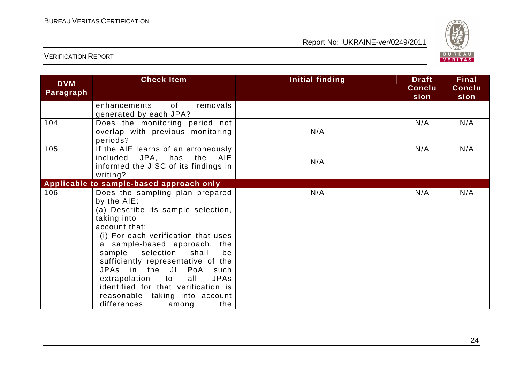![](_page_24_Picture_2.jpeg)

| <b>DVM</b><br>Paragraph | <b>Check Item</b>                                                                                                                                                                                                                                                                                                                                                                                                                                     | Initial finding | <b>Draft</b><br>Conclu<br>sion | <b>Final</b><br>Conclu<br>sion |
|-------------------------|-------------------------------------------------------------------------------------------------------------------------------------------------------------------------------------------------------------------------------------------------------------------------------------------------------------------------------------------------------------------------------------------------------------------------------------------------------|-----------------|--------------------------------|--------------------------------|
|                         | of<br>removals<br>enhancements<br>generated by each JPA?                                                                                                                                                                                                                                                                                                                                                                                              |                 |                                |                                |
| 104                     | Does the monitoring period not<br>overlap with previous monitoring<br>periods?                                                                                                                                                                                                                                                                                                                                                                        | N/A             | N/A                            | N/A                            |
| 105                     | If the AIE learns of an erroneously<br>included JPA, has the<br><b>AIE</b><br>informed the JISC of its findings in<br>writing?                                                                                                                                                                                                                                                                                                                        | N/A             | N/A                            | N/A                            |
|                         | Applicable to sample-based approach only                                                                                                                                                                                                                                                                                                                                                                                                              |                 |                                |                                |
| 106                     | Does the sampling plan prepared<br>by the AIE:<br>(a) Describe its sample selection,<br>taking into<br>account that:<br>(i) For each verification that uses<br>a sample-based approach, the<br>sample<br>selection shall<br>be<br>sufficiently representative of the<br>JPAs in the JI<br>PoA such<br><b>JPAs</b><br>extrapolation to<br>all<br>identified for that verification is<br>reasonable, taking into account<br>differences<br>the<br>among | N/A             | N/A                            | N/A                            |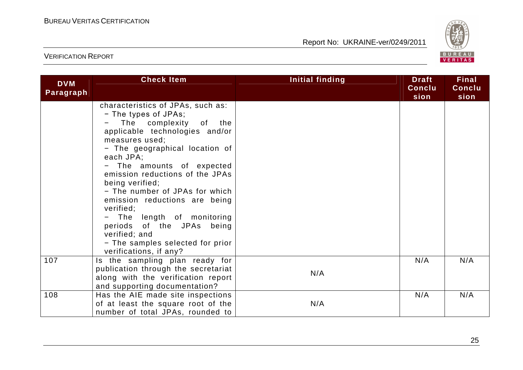![](_page_25_Picture_2.jpeg)

| <b>DVM</b><br>Paragraph | <b>Check Item</b>                           | <b>Initial finding</b> | <b>Draft</b><br>Conclu<br>sion | <b>Final</b><br>Conclu<br>sion |
|-------------------------|---------------------------------------------|------------------------|--------------------------------|--------------------------------|
|                         | characteristics of JPAs, such as:           |                        |                                |                                |
|                         | - The types of JPAs;                        |                        |                                |                                |
|                         | The complexity of the                       |                        |                                |                                |
|                         | applicable technologies and/or              |                        |                                |                                |
|                         | measures used;                              |                        |                                |                                |
|                         | - The geographical location of<br>each JPA; |                        |                                |                                |
|                         | - The amounts of expected                   |                        |                                |                                |
|                         | emission reductions of the JPAs             |                        |                                |                                |
|                         | being verified;                             |                        |                                |                                |
|                         | - The number of JPAs for which              |                        |                                |                                |
|                         | emission reductions are being               |                        |                                |                                |
|                         | verified;                                   |                        |                                |                                |
|                         | The length of monitoring                    |                        |                                |                                |
|                         | periods of the JPAs being                   |                        |                                |                                |
|                         | verified; and                               |                        |                                |                                |
|                         | - The samples selected for prior            |                        |                                |                                |
|                         | verifications, if any?                      |                        |                                |                                |
| 107                     | Is the sampling plan ready for              |                        | N/A                            | N/A                            |
|                         | publication through the secretariat         | N/A                    |                                |                                |
|                         | along with the verification report          |                        |                                |                                |
|                         | and supporting documentation?               |                        |                                |                                |
| 108                     | Has the AIE made site inspections           |                        | N/A                            | N/A                            |
|                         | of at least the square root of the          | N/A                    |                                |                                |
|                         | number of total JPAs, rounded to            |                        |                                |                                |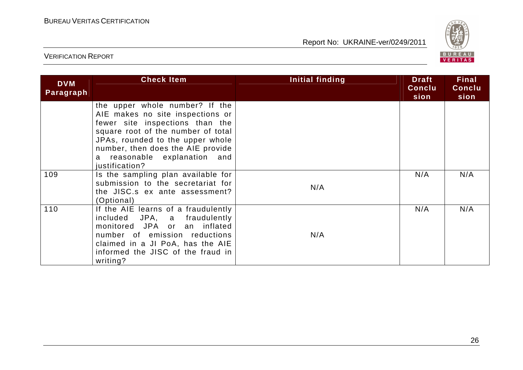![](_page_26_Picture_2.jpeg)

| <b>DVM</b><br>Paragraph | <b>Check Item</b>                                                                                                                                                                                                                                                      | Initial finding | <b>Draft</b><br>Conclu<br>sion | <b>Final</b><br>Conclu<br>sion |
|-------------------------|------------------------------------------------------------------------------------------------------------------------------------------------------------------------------------------------------------------------------------------------------------------------|-----------------|--------------------------------|--------------------------------|
|                         | the upper whole number? If the<br>AIE makes no site inspections or<br>fewer site inspections than the<br>square root of the number of total<br>JPAs, rounded to the upper whole<br>number, then does the AIE provide<br>a reasonable explanation and<br>justification? |                 |                                |                                |
| 109                     | Is the sampling plan available for<br>submission to the secretariat for<br>the JISC.s ex ante assessment?<br>(Optional)                                                                                                                                                | N/A             | N/A                            | N/A                            |
| 110                     | If the AIE learns of a fraudulently<br>included JPA, a fraudulently<br>monitored JPA or an inflated<br>number of emission reductions<br>claimed in a JI PoA, has the AIE<br>informed the JISC of the fraud in<br>writing?                                              | N/A             | N/A                            | N/A                            |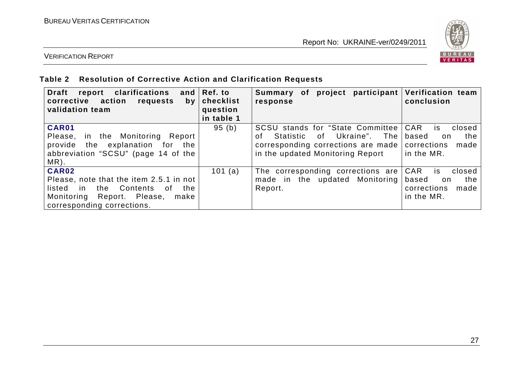![](_page_27_Picture_2.jpeg)

#### VERIFICATION REPORT

#### **Table 2 Resolution of Corrective Action and Clarification Requests**

| Draft report clarifications<br>action<br>corrective<br>requests<br>by<br>validation team | and Ref. to<br>checklist<br>question<br>in table 1 | Summary of project<br>response                                                            | participant   Verification team<br>conclusion |
|------------------------------------------------------------------------------------------|----------------------------------------------------|-------------------------------------------------------------------------------------------|-----------------------------------------------|
| <b>CAR01</b>                                                                             | 95(b)                                              | SCSU stands for "State Committee   CAR                                                    | closed<br>is.                                 |
| in the Monitoring Report<br>Please,<br>provide the explanation for the                   |                                                    | of Ukraine". The l<br>Statistic<br>Ωf<br>corresponding corrections are made   corrections | based<br>the<br>on.<br>made                   |
| abbreviation "SCSU" (page 14 of the                                                      |                                                    | in the updated Monitoring Report                                                          | in the MR.                                    |
| $MR)$ .                                                                                  |                                                    |                                                                                           |                                               |
| CAR02                                                                                    | 101 (a)                                            | The corresponding corrections are CAR                                                     | is i<br>closed                                |
| Please, note that the item 2.5.1 in not                                                  |                                                    | made in the updated Monitoring                                                            | based<br>the<br>on.                           |
| in the Contents<br>the<br>listed<br>of.                                                  |                                                    | Report.                                                                                   | corrections<br>made                           |
| Monitoring Report. Please,<br>make                                                       |                                                    |                                                                                           | in the MR.                                    |
| corresponding corrections.                                                               |                                                    |                                                                                           |                                               |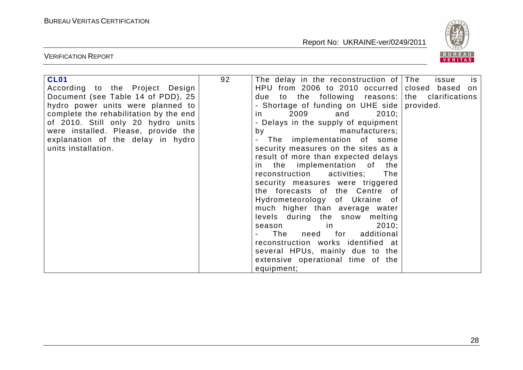![](_page_28_Picture_2.jpeg)

| <b>CL01</b>                            | 92 | The delay in the reconstruction of The             | is.<br>issue |
|----------------------------------------|----|----------------------------------------------------|--------------|
| According to the Project Design        |    | HPU from 2006 to 2010 occurred closed based on     |              |
| Document (see Table 14 of PDD), 25     |    | due to the following reasons:   the clarifications |              |
| hydro power units were planned to      |    | - Shortage of funding on UHE side provided.        |              |
| complete the rehabilitation by the end |    | 2009 and<br>2010;<br>in.                           |              |
| of 2010. Still only 20 hydro units     |    | - Delays in the supply of equipment                |              |
| were installed. Please, provide the    |    | by manufacturers;                                  |              |
| explanation of the delay in hydro      |    | - The implementation of some                       |              |
| units installation.                    |    | security measures on the sites as a                |              |
|                                        |    | result of more than expected delays                |              |
|                                        |    | in the implementation of the                       |              |
|                                        |    | reconstruction activities;<br>The                  |              |
|                                        |    | security measures were triggered                   |              |
|                                        |    |                                                    |              |
|                                        |    | the forecasts of the Centre of                     |              |
|                                        |    | Hydrometeorology of Ukraine of                     |              |
|                                        |    | much higher than average water                     |              |
|                                        |    | levels during the snow melting                     |              |
|                                        |    | 2010;<br>season in                                 |              |
|                                        |    | The need for<br>additional                         |              |
|                                        |    | reconstruction works identified at                 |              |
|                                        |    | several HPUs, mainly due to the                    |              |
|                                        |    | extensive operational time of the                  |              |
|                                        |    | equipment;                                         |              |